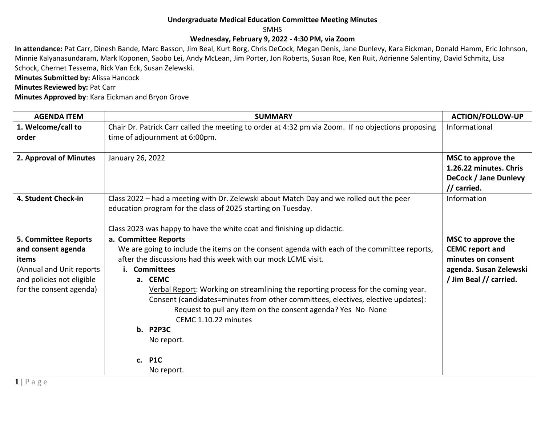## **Undergraduate Medical Education Committee Meeting Minutes**

SMHS

## **Wednesday, February 9, 2022 - 4:30 PM, via Zoom**

**In attendance:** Pat Carr, Dinesh Bande, Marc Basson, Jim Beal, Kurt Borg, Chris DeCock, Megan Denis, Jane Dunlevy, Kara Eickman, Donald Hamm, Eric Johnson, Minnie Kalyanasundaram, Mark Koponen, Saobo Lei, Andy McLean, Jim Porter, Jon Roberts, Susan Roe, Ken Ruit, Adrienne Salentiny, David Schmitz, Lisa Schock, Chernet Tessema, Rick Van Eck, Susan Zelewski.

**Minutes Submitted by:** Alissa Hancock

**Minutes Reviewed by: Pat Carr** 

**Minutes Approved by**: Kara Eickman and Bryon Grove

| <b>AGENDA ITEM</b>          | <b>SUMMARY</b>                                                                                     | <b>ACTION/FOLLOW-UP</b>              |
|-----------------------------|----------------------------------------------------------------------------------------------------|--------------------------------------|
| 1. Welcome/call to          | Chair Dr. Patrick Carr called the meeting to order at 4:32 pm via Zoom. If no objections proposing | Informational                        |
| order                       | time of adjournment at 6:00pm.                                                                     |                                      |
|                             |                                                                                                    |                                      |
| 2. Approval of Minutes      | January 26, 2022                                                                                   | MSC to approve the                   |
|                             |                                                                                                    | 1.26.22 minutes. Chris               |
|                             |                                                                                                    | DeCock / Jane Dunlevy<br>// carried. |
| 4. Student Check-in         | Class 2022 - had a meeting with Dr. Zelewski about Match Day and we rolled out the peer            | Information                          |
|                             | education program for the class of 2025 starting on Tuesday.                                       |                                      |
|                             |                                                                                                    |                                      |
|                             | Class 2023 was happy to have the white coat and finishing up didactic.                             |                                      |
| <b>5. Committee Reports</b> | a. Committee Reports                                                                               | MSC to approve the                   |
| and consent agenda          | We are going to include the items on the consent agenda with each of the committee reports,        | <b>CEMC report and</b>               |
| items                       | after the discussions had this week with our mock LCME visit.                                      | minutes on consent                   |
| (Annual and Unit reports    | <b>Committees</b><br>Ĺ.                                                                            | agenda. Susan Zelewski               |
| and policies not eligible   | a. CEMC                                                                                            | / Jim Beal // carried.               |
| for the consent agenda)     | Verbal Report: Working on streamlining the reporting process for the coming year.                  |                                      |
|                             | Consent (candidates=minutes from other committees, electives, elective updates):                   |                                      |
|                             | Request to pull any item on the consent agenda? Yes No None                                        |                                      |
|                             | CEMC 1.10.22 minutes                                                                               |                                      |
|                             | <b>b.</b> P2P3C                                                                                    |                                      |
|                             | No report.                                                                                         |                                      |
|                             | c. P1C                                                                                             |                                      |
|                             | No report.                                                                                         |                                      |
|                             |                                                                                                    |                                      |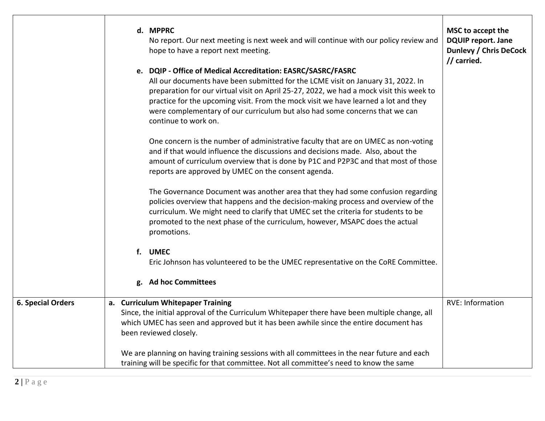|                          | d. MPPRC<br>No report. Our next meeting is next week and will continue with our policy review and<br>hope to have a report next meeting.<br>e. DQIP - Office of Medical Accreditation: EASRC/SASRC/FASRC<br>All our documents have been submitted for the LCME visit on January 31, 2022. In<br>preparation for our virtual visit on April 25-27, 2022, we had a mock visit this week to<br>practice for the upcoming visit. From the mock visit we have learned a lot and they<br>were complementary of our curriculum but also had some concerns that we can<br>continue to work on.<br>One concern is the number of administrative faculty that are on UMEC as non-voting<br>and if that would influence the discussions and decisions made. Also, about the<br>amount of curriculum overview that is done by P1C and P2P3C and that most of those<br>reports are approved by UMEC on the consent agenda.<br>The Governance Document was another area that they had some confusion regarding<br>policies overview that happens and the decision-making process and overview of the<br>curriculum. We might need to clarify that UMEC set the criteria for students to be<br>promoted to the next phase of the curriculum, however, MSAPC does the actual<br>promotions.<br>f. UMEC<br>Eric Johnson has volunteered to be the UMEC representative on the CoRE Committee.<br>g. Ad hoc Committees | MSC to accept the<br><b>DQUIP report. Jane</b><br><b>Dunlevy / Chris DeCock</b><br>// carried. |
|--------------------------|----------------------------------------------------------------------------------------------------------------------------------------------------------------------------------------------------------------------------------------------------------------------------------------------------------------------------------------------------------------------------------------------------------------------------------------------------------------------------------------------------------------------------------------------------------------------------------------------------------------------------------------------------------------------------------------------------------------------------------------------------------------------------------------------------------------------------------------------------------------------------------------------------------------------------------------------------------------------------------------------------------------------------------------------------------------------------------------------------------------------------------------------------------------------------------------------------------------------------------------------------------------------------------------------------------------------------------------------------------------------------------------------------|------------------------------------------------------------------------------------------------|
| <b>6. Special Orders</b> | a. Curriculum Whitepaper Training<br>Since, the initial approval of the Curriculum Whitepaper there have been multiple change, all<br>which UMEC has seen and approved but it has been awhile since the entire document has<br>been reviewed closely.<br>We are planning on having training sessions with all committees in the near future and each<br>training will be specific for that committee. Not all committee's need to know the same                                                                                                                                                                                                                                                                                                                                                                                                                                                                                                                                                                                                                                                                                                                                                                                                                                                                                                                                                    | <b>RVE: Information</b>                                                                        |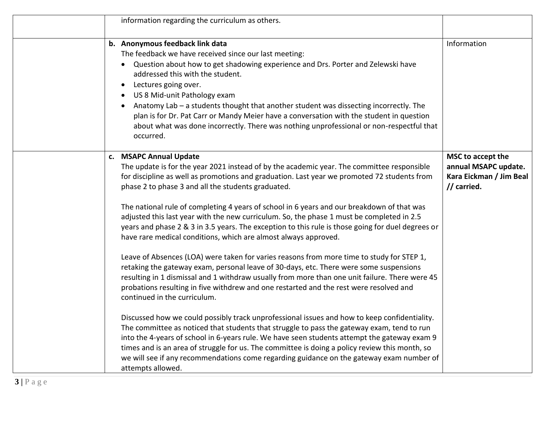| information regarding the curriculum as others.                                                                                                                                                                                                                                                                                                                                                                                                                                                                                                                                                                                                                                                                                                                                                                                                                                                                                                                                                                                                                                                                                                                                                                                                                                                                                                                                                                                                                                                                                                                                  |                                                                                     |
|----------------------------------------------------------------------------------------------------------------------------------------------------------------------------------------------------------------------------------------------------------------------------------------------------------------------------------------------------------------------------------------------------------------------------------------------------------------------------------------------------------------------------------------------------------------------------------------------------------------------------------------------------------------------------------------------------------------------------------------------------------------------------------------------------------------------------------------------------------------------------------------------------------------------------------------------------------------------------------------------------------------------------------------------------------------------------------------------------------------------------------------------------------------------------------------------------------------------------------------------------------------------------------------------------------------------------------------------------------------------------------------------------------------------------------------------------------------------------------------------------------------------------------------------------------------------------------|-------------------------------------------------------------------------------------|
| b. Anonymous feedback link data<br>The feedback we have received since our last meeting:<br>Question about how to get shadowing experience and Drs. Porter and Zelewski have<br>addressed this with the student.<br>Lectures going over.<br>$\bullet$<br>US 8 Mid-unit Pathology exam<br>Anatomy Lab - a students thought that another student was dissecting incorrectly. The<br>plan is for Dr. Pat Carr or Mandy Meier have a conversation with the student in question<br>about what was done incorrectly. There was nothing unprofessional or non-respectful that<br>occurred.                                                                                                                                                                                                                                                                                                                                                                                                                                                                                                                                                                                                                                                                                                                                                                                                                                                                                                                                                                                              | Information                                                                         |
| c. MSAPC Annual Update<br>The update is for the year 2021 instead of by the academic year. The committee responsible<br>for discipline as well as promotions and graduation. Last year we promoted 72 students from<br>phase 2 to phase 3 and all the students graduated.<br>The national rule of completing 4 years of school in 6 years and our breakdown of that was<br>adjusted this last year with the new curriculum. So, the phase 1 must be completed in 2.5<br>years and phase 2 & 3 in 3.5 years. The exception to this rule is those going for duel degrees or<br>have rare medical conditions, which are almost always approved.<br>Leave of Absences (LOA) were taken for varies reasons from more time to study for STEP 1,<br>retaking the gateway exam, personal leave of 30-days, etc. There were some suspensions<br>resulting in 1 dismissal and 1 withdraw usually from more than one unit failure. There were 45<br>probations resulting in five withdrew and one restarted and the rest were resolved and<br>continued in the curriculum.<br>Discussed how we could possibly track unprofessional issues and how to keep confidentiality.<br>The committee as noticed that students that struggle to pass the gateway exam, tend to run<br>into the 4-years of school in 6-years rule. We have seen students attempt the gateway exam 9<br>times and is an area of struggle for us. The committee is doing a policy review this month, so<br>we will see if any recommendations come regarding guidance on the gateway exam number of<br>attempts allowed. | MSC to accept the<br>annual MSAPC update.<br>Kara Eickman / Jim Beal<br>// carried. |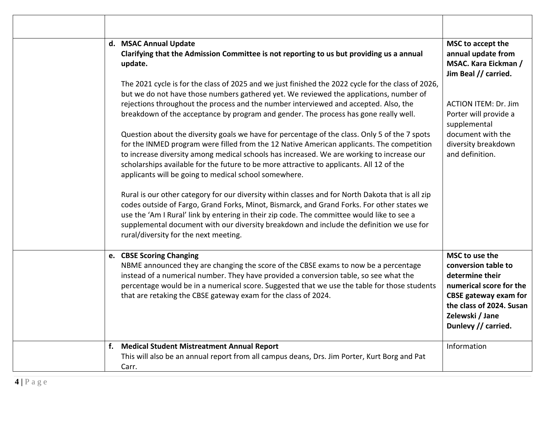| d. MSAC Annual Update<br>Clarifying that the Admission Committee is not reporting to us but providing us a annual<br>update.<br>The 2021 cycle is for the class of 2025 and we just finished the 2022 cycle for the class of 2026,<br>but we do not have those numbers gathered yet. We reviewed the applications, number of<br>rejections throughout the process and the number interviewed and accepted. Also, the<br>breakdown of the acceptance by program and gender. The process has gone really well. | MSC to accept the<br>annual update from<br><b>MSAC. Kara Eickman /</b><br>Jim Beal // carried.<br><b>ACTION ITEM: Dr. Jim</b><br>Porter will provide a                             |
|--------------------------------------------------------------------------------------------------------------------------------------------------------------------------------------------------------------------------------------------------------------------------------------------------------------------------------------------------------------------------------------------------------------------------------------------------------------------------------------------------------------|------------------------------------------------------------------------------------------------------------------------------------------------------------------------------------|
| Question about the diversity goals we have for percentage of the class. Only 5 of the 7 spots<br>for the INMED program were filled from the 12 Native American applicants. The competition<br>to increase diversity among medical schools has increased. We are working to increase our<br>scholarships available for the future to be more attractive to applicants. All 12 of the<br>applicants will be going to medical school somewhere.                                                                 | supplemental<br>document with the<br>diversity breakdown<br>and definition.                                                                                                        |
| Rural is our other category for our diversity within classes and for North Dakota that is all zip<br>codes outside of Fargo, Grand Forks, Minot, Bismarck, and Grand Forks. For other states we<br>use the 'Am I Rural' link by entering in their zip code. The committee would like to see a<br>supplemental document with our diversity breakdown and include the definition we use for<br>rural/diversity for the next meeting.                                                                           |                                                                                                                                                                                    |
| e. CBSE Scoring Changing<br>NBME announced they are changing the score of the CBSE exams to now be a percentage<br>instead of a numerical number. They have provided a conversion table, so see what the<br>percentage would be in a numerical score. Suggested that we use the table for those students<br>that are retaking the CBSE gateway exam for the class of 2024.                                                                                                                                   | MSC to use the<br>conversion table to<br>determine their<br>numerical score for the<br>CBSE gateway exam for<br>the class of 2024. Susan<br>Zelewski / Jane<br>Dunlevy // carried. |
| f. Medical Student Mistreatment Annual Report<br>This will also be an annual report from all campus deans, Drs. Jim Porter, Kurt Borg and Pat<br>Carr.                                                                                                                                                                                                                                                                                                                                                       | Information                                                                                                                                                                        |